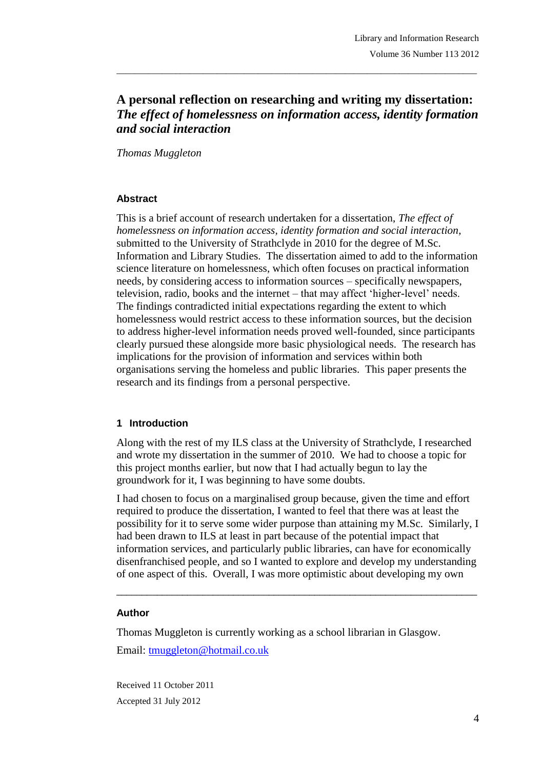# **A personal reflection on researching and writing my dissertation:**  *The effect of homelessness on information access, identity formation and social interaction*

\_\_\_\_\_\_\_\_\_\_\_\_\_\_\_\_\_\_\_\_\_\_\_\_\_\_\_\_\_\_\_\_\_\_\_\_\_\_\_\_\_\_\_\_\_\_\_\_\_\_\_\_\_\_\_\_\_\_\_\_\_\_\_\_\_\_\_\_\_\_\_\_\_\_\_\_\_\_\_

*Thomas Muggleton*

### **Abstract**

This is a brief account of research undertaken for a dissertation, *The effect of homelessness on information access, identity formation and social interaction*, submitted to the University of Strathclyde in 2010 for the degree of M.Sc. Information and Library Studies. The dissertation aimed to add to the information science literature on homelessness, which often focuses on practical information needs, by considering access to information sources – specifically newspapers, television, radio, books and the internet – that may affect 'higher-level' needs. The findings contradicted initial expectations regarding the extent to which homelessness would restrict access to these information sources, but the decision to address higher-level information needs proved well-founded, since participants clearly pursued these alongside more basic physiological needs. The research has implications for the provision of information and services within both organisations serving the homeless and public libraries. This paper presents the research and its findings from a personal perspective.

### **1 Introduction**

Along with the rest of my ILS class at the University of Strathclyde, I researched and wrote my dissertation in the summer of 2010. We had to choose a topic for this project months earlier, but now that I had actually begun to lay the groundwork for it, I was beginning to have some doubts.

I had chosen to focus on a marginalised group because, given the time and effort required to produce the dissertation, I wanted to feel that there was at least the possibility for it to serve some wider purpose than attaining my M.Sc. Similarly, I had been drawn to ILS at least in part because of the potential impact that information services, and particularly public libraries, can have for economically disenfranchised people, and so I wanted to explore and develop my understanding of one aspect of this. Overall, I was more optimistic about developing my own

\_\_\_\_\_\_\_\_\_\_\_\_\_\_\_\_\_\_\_\_\_\_\_\_\_\_\_\_\_\_\_\_\_\_\_\_\_\_\_\_\_\_\_\_\_\_\_\_\_\_\_\_\_\_\_\_\_\_\_\_\_\_\_\_\_\_\_\_\_\_\_

#### **Author**

Thomas Muggleton is currently working as a school librarian in Glasgow. Email: tmuggleton@hotmail.co.uk

Received 11 October 2011 Accepted 31 July 2012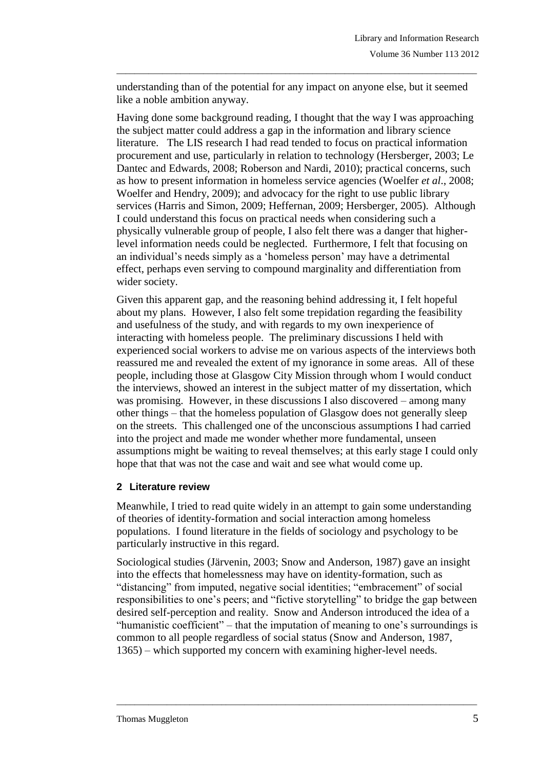understanding than of the potential for any impact on anyone else, but it seemed like a noble ambition anyway.

\_\_\_\_\_\_\_\_\_\_\_\_\_\_\_\_\_\_\_\_\_\_\_\_\_\_\_\_\_\_\_\_\_\_\_\_\_\_\_\_\_\_\_\_\_\_\_\_\_\_\_\_\_\_\_\_\_\_\_\_\_\_\_\_\_\_\_\_\_\_\_\_\_\_\_\_\_\_\_

Having done some background reading, I thought that the way I was approaching the subject matter could address a gap in the information and library science literature. The LIS research I had read tended to focus on practical information procurement and use, particularly in relation to technology (Hersberger, 2003; Le Dantec and Edwards, 2008; Roberson and Nardi, 2010); practical concerns, such as how to present information in homeless service agencies (Woelfer *et al*., 2008; Woelfer and Hendry, 2009); and advocacy for the right to use public library services (Harris and Simon, 2009; Heffernan, 2009; Hersberger, 2005). Although I could understand this focus on practical needs when considering such a physically vulnerable group of people, I also felt there was a danger that higherlevel information needs could be neglected. Furthermore, I felt that focusing on an individual's needs simply as a 'homeless person' may have a detrimental effect, perhaps even serving to compound marginality and differentiation from wider society.

Given this apparent gap, and the reasoning behind addressing it, I felt hopeful about my plans. However, I also felt some trepidation regarding the feasibility and usefulness of the study, and with regards to my own inexperience of interacting with homeless people. The preliminary discussions I held with experienced social workers to advise me on various aspects of the interviews both reassured me and revealed the extent of my ignorance in some areas. All of these people, including those at Glasgow City Mission through whom I would conduct the interviews, showed an interest in the subject matter of my dissertation, which was promising. However, in these discussions I also discovered – among many other things – that the homeless population of Glasgow does not generally sleep on the streets. This challenged one of the unconscious assumptions I had carried into the project and made me wonder whether more fundamental, unseen assumptions might be waiting to reveal themselves; at this early stage I could only hope that that was not the case and wait and see what would come up.

# **2 Literature review**

Meanwhile, I tried to read quite widely in an attempt to gain some understanding of theories of identity-formation and social interaction among homeless populations. I found literature in the fields of sociology and psychology to be particularly instructive in this regard.

Sociological studies (Järvenin, 2003; Snow and Anderson, 1987) gave an insight into the effects that homelessness may have on identity-formation, such as "distancing" from imputed, negative social identities; "embracement" of social responsibilities to one's peers; and "fictive storytelling" to bridge the gap between desired self-perception and reality. Snow and Anderson introduced the idea of a "humanistic coefficient" – that the imputation of meaning to one's surroundings is common to all people regardless of social status (Snow and Anderson, 1987, 1365) – which supported my concern with examining higher-level needs.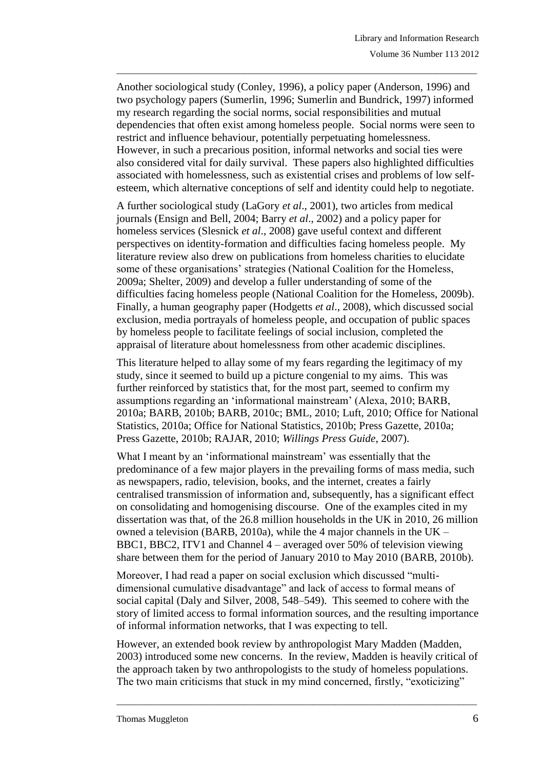Another sociological study (Conley, 1996), a policy paper (Anderson, 1996) and two psychology papers (Sumerlin, 1996; Sumerlin and Bundrick, 1997) informed my research regarding the social norms, social responsibilities and mutual dependencies that often exist among homeless people. Social norms were seen to restrict and influence behaviour, potentially perpetuating homelessness. However, in such a precarious position, informal networks and social ties were also considered vital for daily survival. These papers also highlighted difficulties associated with homelessness, such as existential crises and problems of low selfesteem, which alternative conceptions of self and identity could help to negotiate.

\_\_\_\_\_\_\_\_\_\_\_\_\_\_\_\_\_\_\_\_\_\_\_\_\_\_\_\_\_\_\_\_\_\_\_\_\_\_\_\_\_\_\_\_\_\_\_\_\_\_\_\_\_\_\_\_\_\_\_\_\_\_\_\_\_\_\_\_\_\_\_\_\_\_\_\_\_\_\_

A further sociological study (LaGory *et al*., 2001), two articles from medical journals (Ensign and Bell, 2004; Barry *et al*., 2002) and a policy paper for homeless services (Slesnick *et al*., 2008) gave useful context and different perspectives on identity-formation and difficulties facing homeless people. My literature review also drew on publications from homeless charities to elucidate some of these organisations' strategies (National Coalition for the Homeless, 2009a; Shelter, 2009) and develop a fuller understanding of some of the difficulties facing homeless people (National Coalition for the Homeless, 2009b). Finally, a human geography paper (Hodgetts *et al*., 2008), which discussed social exclusion, media portrayals of homeless people, and occupation of public spaces by homeless people to facilitate feelings of social inclusion, completed the appraisal of literature about homelessness from other academic disciplines.

This literature helped to allay some of my fears regarding the legitimacy of my study, since it seemed to build up a picture congenial to my aims. This was further reinforced by statistics that, for the most part, seemed to confirm my assumptions regarding an 'informational mainstream' (Alexa, 2010; BARB, 2010a; BARB, 2010b; BARB, 2010c; BML, 2010; Luft, 2010; Office for National Statistics, 2010a; Office for National Statistics, 2010b; Press Gazette, 2010a; Press Gazette, 2010b; RAJAR, 2010; *Willings Press Guide*, 2007).

What I meant by an 'informational mainstream' was essentially that the predominance of a few major players in the prevailing forms of mass media, such as newspapers, radio, television, books, and the internet, creates a fairly centralised transmission of information and, subsequently, has a significant effect on consolidating and homogenising discourse. One of the examples cited in my dissertation was that, of the 26.8 million households in the UK in 2010, 26 million owned a television (BARB, 2010a), while the 4 major channels in the UK – BBC1, BBC2, ITV1 and Channel 4 – averaged over 50% of television viewing share between them for the period of January 2010 to May 2010 (BARB, 2010b).

Moreover, I had read a paper on social exclusion which discussed "multidimensional cumulative disadvantage" and lack of access to formal means of social capital (Daly and Silver, 2008, 548–549). This seemed to cohere with the story of limited access to formal information sources, and the resulting importance of informal information networks, that I was expecting to tell.

However, an extended book review by anthropologist Mary Madden (Madden, 2003) introduced some new concerns. In the review, Madden is heavily critical of the approach taken by two anthropologists to the study of homeless populations. The two main criticisms that stuck in my mind concerned, firstly, "exoticizing"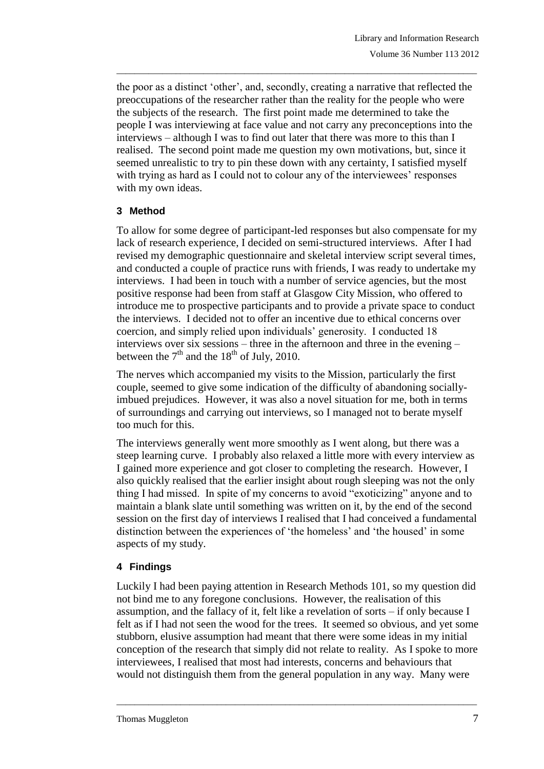the poor as a distinct 'other', and, secondly, creating a narrative that reflected the preoccupations of the researcher rather than the reality for the people who were the subjects of the research. The first point made me determined to take the people I was interviewing at face value and not carry any preconceptions into the interviews – although I was to find out later that there was more to this than I realised. The second point made me question my own motivations, but, since it seemed unrealistic to try to pin these down with any certainty, I satisfied myself with trying as hard as I could not to colour any of the interviewees' responses with my own ideas.

\_\_\_\_\_\_\_\_\_\_\_\_\_\_\_\_\_\_\_\_\_\_\_\_\_\_\_\_\_\_\_\_\_\_\_\_\_\_\_\_\_\_\_\_\_\_\_\_\_\_\_\_\_\_\_\_\_\_\_\_\_\_\_\_\_\_\_\_\_\_\_\_\_\_\_\_\_\_\_

# **3 Method**

To allow for some degree of participant-led responses but also compensate for my lack of research experience, I decided on semi-structured interviews. After I had revised my demographic questionnaire and skeletal interview script several times, and conducted a couple of practice runs with friends, I was ready to undertake my interviews. I had been in touch with a number of service agencies, but the most positive response had been from staff at Glasgow City Mission, who offered to introduce me to prospective participants and to provide a private space to conduct the interviews. I decided not to offer an incentive due to ethical concerns over coercion, and simply relied upon individuals' generosity. I conducted 18 interviews over six sessions – three in the afternoon and three in the evening – between the  $7<sup>th</sup>$  and the  $18<sup>th</sup>$  of July, 2010.

The nerves which accompanied my visits to the Mission, particularly the first couple, seemed to give some indication of the difficulty of abandoning sociallyimbued prejudices. However, it was also a novel situation for me, both in terms of surroundings and carrying out interviews, so I managed not to berate myself too much for this.

The interviews generally went more smoothly as I went along, but there was a steep learning curve. I probably also relaxed a little more with every interview as I gained more experience and got closer to completing the research. However, I also quickly realised that the earlier insight about rough sleeping was not the only thing I had missed. In spite of my concerns to avoid "exoticizing" anyone and to maintain a blank slate until something was written on it, by the end of the second session on the first day of interviews I realised that I had conceived a fundamental distinction between the experiences of 'the homeless' and 'the housed' in some aspects of my study.

# **4 Findings**

Luckily I had been paying attention in Research Methods 101, so my question did not bind me to any foregone conclusions. However, the realisation of this assumption, and the fallacy of it, felt like a revelation of sorts – if only because I felt as if I had not seen the wood for the trees. It seemed so obvious, and yet some stubborn, elusive assumption had meant that there were some ideas in my initial conception of the research that simply did not relate to reality. As I spoke to more interviewees, I realised that most had interests, concerns and behaviours that would not distinguish them from the general population in any way. Many were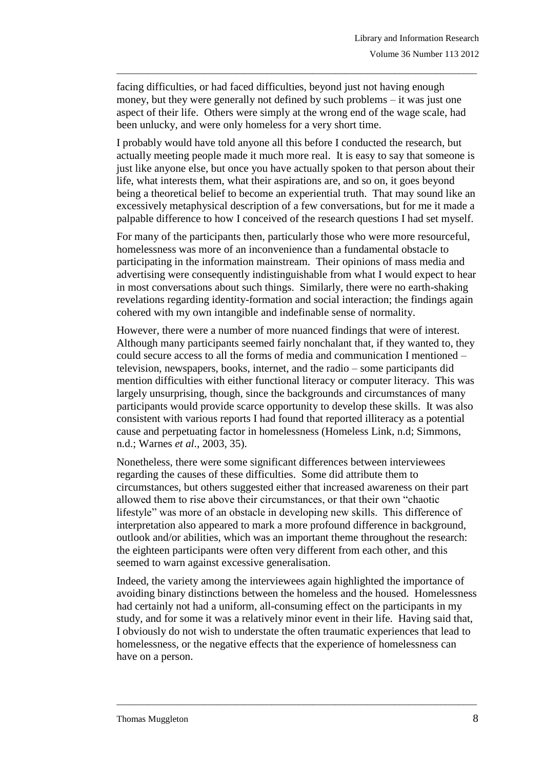facing difficulties, or had faced difficulties, beyond just not having enough money, but they were generally not defined by such problems – it was just one aspect of their life. Others were simply at the wrong end of the wage scale, had been unlucky, and were only homeless for a very short time.

\_\_\_\_\_\_\_\_\_\_\_\_\_\_\_\_\_\_\_\_\_\_\_\_\_\_\_\_\_\_\_\_\_\_\_\_\_\_\_\_\_\_\_\_\_\_\_\_\_\_\_\_\_\_\_\_\_\_\_\_\_\_\_\_\_\_\_\_\_\_\_\_\_\_\_\_\_\_\_

I probably would have told anyone all this before I conducted the research, but actually meeting people made it much more real. It is easy to say that someone is just like anyone else, but once you have actually spoken to that person about their life, what interests them, what their aspirations are, and so on, it goes beyond being a theoretical belief to become an experiential truth. That may sound like an excessively metaphysical description of a few conversations, but for me it made a palpable difference to how I conceived of the research questions I had set myself.

For many of the participants then, particularly those who were more resourceful, homelessness was more of an inconvenience than a fundamental obstacle to participating in the information mainstream. Their opinions of mass media and advertising were consequently indistinguishable from what I would expect to hear in most conversations about such things. Similarly, there were no earth-shaking revelations regarding identity-formation and social interaction; the findings again cohered with my own intangible and indefinable sense of normality.

However, there were a number of more nuanced findings that were of interest. Although many participants seemed fairly nonchalant that, if they wanted to, they could secure access to all the forms of media and communication I mentioned – television, newspapers, books, internet, and the radio – some participants did mention difficulties with either functional literacy or computer literacy. This was largely unsurprising, though, since the backgrounds and circumstances of many participants would provide scarce opportunity to develop these skills. It was also consistent with various reports I had found that reported illiteracy as a potential cause and perpetuating factor in homelessness (Homeless Link, n.d; Simmons, n.d.; Warnes *et al*., 2003, 35).

Nonetheless, there were some significant differences between interviewees regarding the causes of these difficulties. Some did attribute them to circumstances, but others suggested either that increased awareness on their part allowed them to rise above their circumstances, or that their own "chaotic lifestyle" was more of an obstacle in developing new skills. This difference of interpretation also appeared to mark a more profound difference in background, outlook and/or abilities, which was an important theme throughout the research: the eighteen participants were often very different from each other, and this seemed to warn against excessive generalisation.

Indeed, the variety among the interviewees again highlighted the importance of avoiding binary distinctions between the homeless and the housed. Homelessness had certainly not had a uniform, all-consuming effect on the participants in my study, and for some it was a relatively minor event in their life. Having said that, I obviously do not wish to understate the often traumatic experiences that lead to homelessness, or the negative effects that the experience of homelessness can have on a person.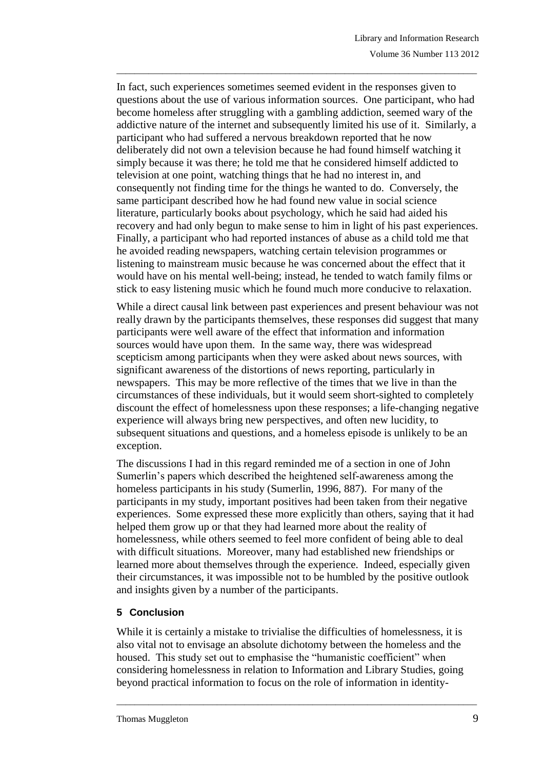In fact, such experiences sometimes seemed evident in the responses given to questions about the use of various information sources. One participant, who had become homeless after struggling with a gambling addiction, seemed wary of the addictive nature of the internet and subsequently limited his use of it. Similarly, a participant who had suffered a nervous breakdown reported that he now deliberately did not own a television because he had found himself watching it simply because it was there; he told me that he considered himself addicted to television at one point, watching things that he had no interest in, and consequently not finding time for the things he wanted to do. Conversely, the same participant described how he had found new value in social science literature, particularly books about psychology, which he said had aided his recovery and had only begun to make sense to him in light of his past experiences. Finally, a participant who had reported instances of abuse as a child told me that he avoided reading newspapers, watching certain television programmes or listening to mainstream music because he was concerned about the effect that it would have on his mental well-being; instead, he tended to watch family films or stick to easy listening music which he found much more conducive to relaxation.

\_\_\_\_\_\_\_\_\_\_\_\_\_\_\_\_\_\_\_\_\_\_\_\_\_\_\_\_\_\_\_\_\_\_\_\_\_\_\_\_\_\_\_\_\_\_\_\_\_\_\_\_\_\_\_\_\_\_\_\_\_\_\_\_\_\_\_\_\_\_\_\_\_\_\_\_\_\_\_

While a direct causal link between past experiences and present behaviour was not really drawn by the participants themselves, these responses did suggest that many participants were well aware of the effect that information and information sources would have upon them. In the same way, there was widespread scepticism among participants when they were asked about news sources, with significant awareness of the distortions of news reporting, particularly in newspapers. This may be more reflective of the times that we live in than the circumstances of these individuals, but it would seem short-sighted to completely discount the effect of homelessness upon these responses; a life-changing negative experience will always bring new perspectives, and often new lucidity, to subsequent situations and questions, and a homeless episode is unlikely to be an exception.

The discussions I had in this regard reminded me of a section in one of John Sumerlin's papers which described the heightened self-awareness among the homeless participants in his study (Sumerlin, 1996, 887). For many of the participants in my study, important positives had been taken from their negative experiences. Some expressed these more explicitly than others, saying that it had helped them grow up or that they had learned more about the reality of homelessness, while others seemed to feel more confident of being able to deal with difficult situations. Moreover, many had established new friendships or learned more about themselves through the experience. Indeed, especially given their circumstances, it was impossible not to be humbled by the positive outlook and insights given by a number of the participants.

# **5 Conclusion**

While it is certainly a mistake to trivialise the difficulties of homelessness, it is also vital not to envisage an absolute dichotomy between the homeless and the housed. This study set out to emphasise the "humanistic coefficient" when considering homelessness in relation to Information and Library Studies, going beyond practical information to focus on the role of information in identity-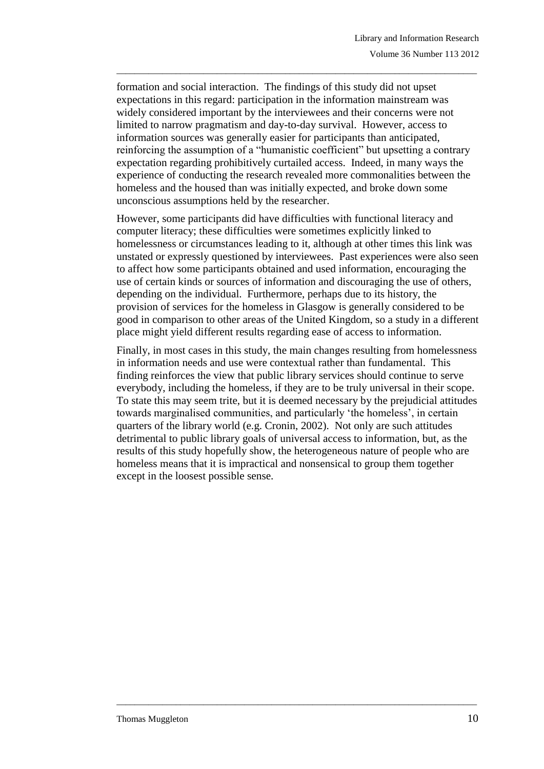formation and social interaction. The findings of this study did not upset expectations in this regard: participation in the information mainstream was widely considered important by the interviewees and their concerns were not limited to narrow pragmatism and day-to-day survival. However, access to information sources was generally easier for participants than anticipated, reinforcing the assumption of a "humanistic coefficient" but upsetting a contrary expectation regarding prohibitively curtailed access. Indeed, in many ways the experience of conducting the research revealed more commonalities between the homeless and the housed than was initially expected, and broke down some unconscious assumptions held by the researcher.

\_\_\_\_\_\_\_\_\_\_\_\_\_\_\_\_\_\_\_\_\_\_\_\_\_\_\_\_\_\_\_\_\_\_\_\_\_\_\_\_\_\_\_\_\_\_\_\_\_\_\_\_\_\_\_\_\_\_\_\_\_\_\_\_\_\_\_\_\_\_\_\_\_\_\_\_\_\_\_

However, some participants did have difficulties with functional literacy and computer literacy; these difficulties were sometimes explicitly linked to homelessness or circumstances leading to it, although at other times this link was unstated or expressly questioned by interviewees. Past experiences were also seen to affect how some participants obtained and used information, encouraging the use of certain kinds or sources of information and discouraging the use of others, depending on the individual. Furthermore, perhaps due to its history, the provision of services for the homeless in Glasgow is generally considered to be good in comparison to other areas of the United Kingdom, so a study in a different place might yield different results regarding ease of access to information.

Finally, in most cases in this study, the main changes resulting from homelessness in information needs and use were contextual rather than fundamental. This finding reinforces the view that public library services should continue to serve everybody, including the homeless, if they are to be truly universal in their scope. To state this may seem trite, but it is deemed necessary by the prejudicial attitudes towards marginalised communities, and particularly 'the homeless', in certain quarters of the library world (e.g. Cronin, 2002). Not only are such attitudes detrimental to public library goals of universal access to information, but, as the results of this study hopefully show, the heterogeneous nature of people who are homeless means that it is impractical and nonsensical to group them together except in the loosest possible sense.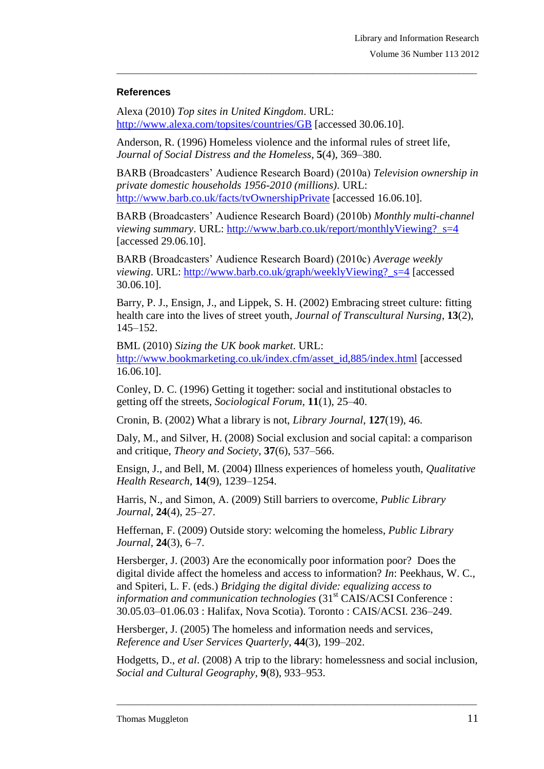#### **References**

Alexa (2010) *Top sites in United Kingdom*. URL: <http://www.alexa.com/topsites/countries/GB> [accessed 30.06.10].

Anderson, R. (1996) Homeless violence and the informal rules of street life, *Journal of Social Distress and the Homeless*, **5**(4), 369–380.

BARB (Broadcasters' Audience Research Board) (2010a) *Television ownership in private domestic households 1956-2010 (millions)*. URL: <http://www.barb.co.uk/facts/tvOwnershipPrivate> [accessed 16.06.10].

\_\_\_\_\_\_\_\_\_\_\_\_\_\_\_\_\_\_\_\_\_\_\_\_\_\_\_\_\_\_\_\_\_\_\_\_\_\_\_\_\_\_\_\_\_\_\_\_\_\_\_\_\_\_\_\_\_\_\_\_\_\_\_\_\_\_\_\_\_\_\_\_\_\_\_\_\_\_\_

BARB (Broadcasters' Audience Research Board) (2010b) *Monthly multi-channel viewing summary*. URL: [http://www.barb.co.uk/report/monthlyViewing?\\_s=4](http://www.barb.co.uk/report/monthlyViewing?_s=4) [accessed 29.06.10].

BARB (Broadcasters' Audience Research Board) (2010c) *Average weekly viewing*. URL: http://www.barb.co.uk/graph/weeklyViewing? s=4 [accessed] 30.06.10].

Barry, P. J., Ensign, J., and Lippek, S. H. (2002) Embracing street culture: fitting health care into the lives of street youth, *Journal of Transcultural Nursing*, **13**(2), 145–152.

BML (2010) *Sizing the UK book market*. URL: [http://www.bookmarketing.co.uk/index.cfm/asset\\_id,885/index.html](http://www.bookmarketing.co.uk/index.cfm/asset_id,885/index.html) [accessed 16.06.10].

Conley, D. C. (1996) Getting it together: social and institutional obstacles to getting off the streets, *Sociological Forum*, **11**(1), 25–40.

Cronin, B. (2002) What a library is not, *Library Journal*, **127**(19), 46.

Daly, M., and Silver, H. (2008) Social exclusion and social capital: a comparison and critique, *Theory and Society*, **37**(6), 537–566.

Ensign, J., and Bell, M. (2004) Illness experiences of homeless youth, *Qualitative Health Research*, **14**(9), 1239–1254.

Harris, N., and Simon, A. (2009) Still barriers to overcome, *Public Library Journal*, **24**(4), 25–27.

Heffernan, F. (2009) Outside story: welcoming the homeless, *Public Library Journal*, **24**(3), 6–7.

Hersberger, J. (2003) Are the economically poor information poor? Does the digital divide affect the homeless and access to information? *In*: Peekhaus, W. C., and Spiteri, L. F. (eds.) *Bridging the digital divide: equalizing access to information and communication technologies* (31<sup>st</sup> CAIS/ACSI Conference : 30.05.03–01.06.03 : Halifax, Nova Scotia). Toronto : CAIS/ACSI. 236–249.

Hersberger, J. (2005) The homeless and information needs and services, *Reference and User Services Quarterly*, **44**(3), 199–202.

Hodgetts, D., *et al*. (2008) A trip to the library: homelessness and social inclusion, *Social and Cultural Geography*, **9**(8), 933–953.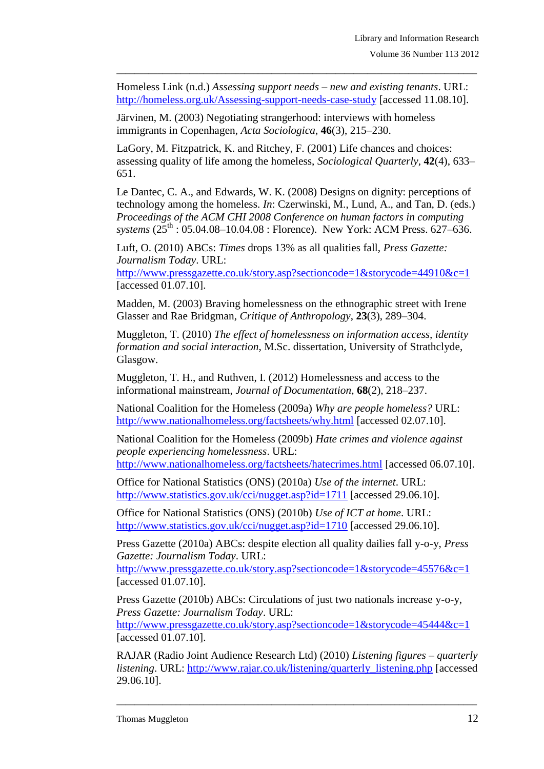Homeless Link (n.d.) *Assessing support needs – new and existing tenants*. URL: <http://homeless.org.uk/Assessing-support-needs-case-study> [accessed 11.08.10].

\_\_\_\_\_\_\_\_\_\_\_\_\_\_\_\_\_\_\_\_\_\_\_\_\_\_\_\_\_\_\_\_\_\_\_\_\_\_\_\_\_\_\_\_\_\_\_\_\_\_\_\_\_\_\_\_\_\_\_\_\_\_\_\_\_\_\_\_\_\_\_\_\_\_\_\_\_\_\_

Järvinen, M. (2003) Negotiating strangerhood: interviews with homeless immigrants in Copenhagen, *Acta Sociologica*, **46**(3), 215–230.

LaGory, M. Fitzpatrick, K. and Ritchey, F. (2001) Life chances and choices: assessing quality of life among the homeless, *Sociological Quarterly*, **42**(4), 633– 651.

Le Dantec, C. A., and Edwards, W. K. (2008) Designs on dignity: perceptions of technology among the homeless. *In*: Czerwinski, M., Lund, A., and Tan, D. (eds.) *Proceedings of the ACM CHI 2008 Conference on human factors in computing systems* (25<sup>th</sup>: 05.04.08–10.04.08 : Florence). New York: ACM Press. 627–636.

Luft, O. (2010) ABCs: *Times* drops 13% as all qualities fall, *Press Gazette: Journalism Today*. URL:

<http://www.pressgazette.co.uk/story.asp?sectioncode=1&storycode=44910&c=1> [accessed 01.07.10].

Madden, M. (2003) Braving homelessness on the ethnographic street with Irene Glasser and Rae Bridgman, *Critique of Anthropology*, **23**(3), 289–304.

Muggleton, T. (2010) *The effect of homelessness on information access, identity formation and social interaction*, M.Sc. dissertation, University of Strathclyde, Glasgow.

Muggleton, T. H., and Ruthven, I. (2012) Homelessness and access to the informational mainstream, *Journal of Documentation*, **68**(2), 218–237.

National Coalition for the Homeless (2009a) *Why are people homeless?* URL: <http://www.nationalhomeless.org/factsheets/why.html> [accessed 02.07.10].

National Coalition for the Homeless (2009b) *Hate crimes and violence against people experiencing homelessness*. URL:

<http://www.nationalhomeless.org/factsheets/hatecrimes.html> [accessed 06.07.10].

Office for National Statistics (ONS) (2010a) *Use of the internet*. URL: <http://www.statistics.gov.uk/cci/nugget.asp?id=1711> [accessed 29.06.10].

Office for National Statistics (ONS) (2010b) *Use of ICT at home*. URL: <http://www.statistics.gov.uk/cci/nugget.asp?id=1710> [accessed 29.06.10].

Press Gazette (2010a) ABCs: despite election all quality dailies fall y-o-y, *Press Gazette: Journalism Today*. URL:

<http://www.pressgazette.co.uk/story.asp?sectioncode=1&storycode=45576&c=1> [accessed 01.07.10].

Press Gazette (2010b) ABCs: Circulations of just two nationals increase y-o-y, *Press Gazette: Journalism Today*. URL:

<http://www.pressgazette.co.uk/story.asp?sectioncode=1&storycode=45444&c=1> [accessed 01.07.10].

RAJAR (Radio Joint Audience Research Ltd) (2010) *Listening figures – quarterly listening*. URL: [http://www.rajar.co.uk/listening/quarterly\\_listening.php](http://www.rajar.co.uk/listening/quarterly_listening.php) [accessed] 29.06.10].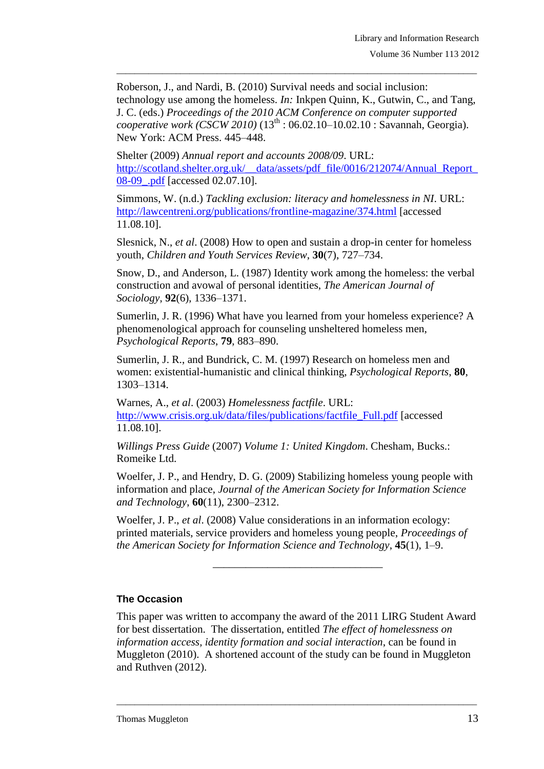Roberson, J., and Nardi, B. (2010) Survival needs and social inclusion: technology use among the homeless. *In:* Inkpen Quinn, K., Gutwin, C., and Tang, J. C. (eds.) *Proceedings of the 2010 ACM Conference on computer supported cooperative work (CSCW 2010)* (13<sup>th</sup> : 06.02.10–10.02.10 : Savannah, Georgia). New York: ACM Press. 445–448.

\_\_\_\_\_\_\_\_\_\_\_\_\_\_\_\_\_\_\_\_\_\_\_\_\_\_\_\_\_\_\_\_\_\_\_\_\_\_\_\_\_\_\_\_\_\_\_\_\_\_\_\_\_\_\_\_\_\_\_\_\_\_\_\_\_\_\_\_\_\_\_\_\_\_\_\_\_\_\_

Shelter (2009) *Annual report and accounts 2008/09*. URL: http://scotland.shelter.org.uk/\_\_data/assets/pdf\_file/0016/212074/Annual\_Report [08-09\\_.pdf](http://scotland.shelter.org.uk/__data/assets/pdf_file/0016/212074/Annual_Report_08-09_.pdf) [accessed 02.07.10].

Simmons, W. (n.d.) *Tackling exclusion: literacy and homelessness in NI*. URL: <http://lawcentreni.org/publications/frontline-magazine/374.html> [accessed 11.08.10].

Slesnick, N., *et al*. (2008) How to open and sustain a drop-in center for homeless youth, *Children and Youth Services Review*, **30**(7), 727–734.

Snow, D., and Anderson, L. (1987) Identity work among the homeless: the verbal construction and avowal of personal identities, *The American Journal of Sociology*, **92**(6), 1336–1371.

Sumerlin, J. R. (1996) What have you learned from your homeless experience? A phenomenological approach for counseling unsheltered homeless men, *Psychological Reports*, **79**, 883–890.

Sumerlin, J. R., and Bundrick, C. M. (1997) Research on homeless men and women: existential-humanistic and clinical thinking, *Psychological Reports*, **80**, 1303–1314.

Warnes, A., *et al*. (2003) *Homelessness factfile*. URL: [http://www.crisis.org.uk/data/files/publications/factfile\\_Full.pdf](http://www.crisis.org.uk/data/files/publications/factfile_Full.pdf) [accessed 11.08.10].

*Willings Press Guide* (2007) *Volume 1: United Kingdom*. Chesham, Bucks.: Romeike Ltd.

Woelfer, J. P., and Hendry, D. G. (2009) Stabilizing homeless young people with information and place, *Journal of the American Society for Information Science and Technology*, **60**(11), 2300–2312.

Woelfer, J. P., *et al*. (2008) Value considerations in an information ecology: printed materials, service providers and homeless young people, *Proceedings of the American Society for Information Science and Technology*, **45**(1), 1–9.

\_\_\_\_\_\_\_\_\_\_\_\_\_\_\_\_\_\_\_\_\_\_\_\_\_\_\_\_\_\_\_

### **The Occasion**

This paper was written to accompany the award of the 2011 LIRG Student Award for best dissertation. The dissertation, entitled *The effect of homelessness on information access, identity formation and social interaction*, can be found in Muggleton (2010). A shortened account of the study can be found in Muggleton and Ruthven (2012).